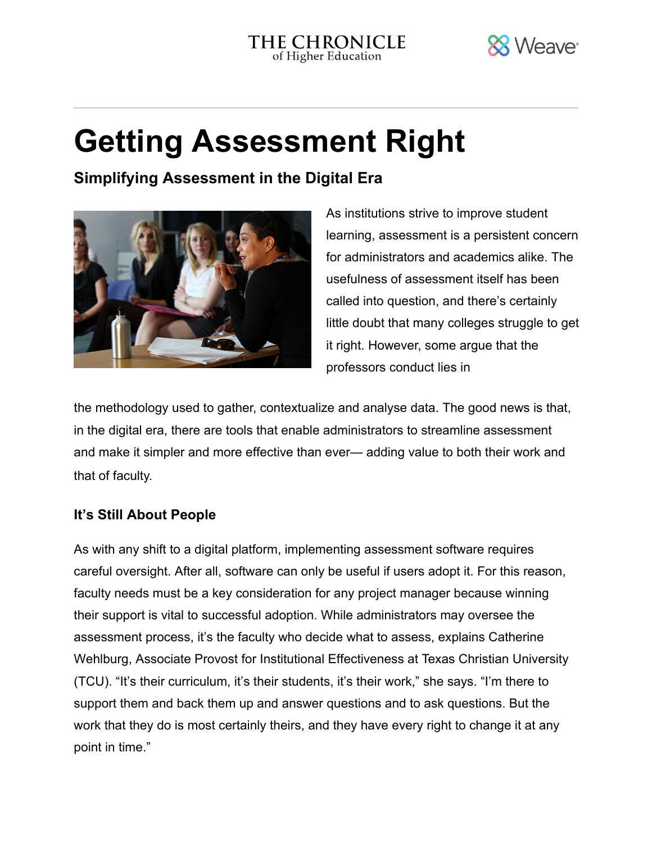

# Getting Assessment Right

Simplifying Assessment in the Digital Era



As institutions strive to improve student learning, assessment is a persistent concern for administrators and academics alike. The usefulness of assessment itself has been called into [question](https://www.chronicle.com/article/An-Insider-s-Take-on/242235), and there's certainly little doubt that many colleges struggle to get it right. However, some argue that the professors conduct lies in

the methodology used to gather, contextualize and analyse data. The good news is that, in the digital era, there are tools that enable administrators to streamline assessment and make it simpler and more effective than ever— adding value to both their work and that of faculty.

## It's Still About People

As with any shift to a digital platform, implementing assessment software requires careful oversight. After all, software can only be useful if users adopt it. For this reason, faculty needs must be a key consideration for any project manager because winning their support is vital to successful adoption. While administrators may oversee the assessment process, it's the faculty who decide what to assess, explains Catherine Wehlburg, Associate Provost for Institutional Effectiveness at Texas Christian University (TCU). "It's their curriculum, it's their students, it's their work," she says. "I'm there to support them and back them up and answer questions and to ask questions. But the work that they do is most certainly theirs, and they have every right to change it at any point in time."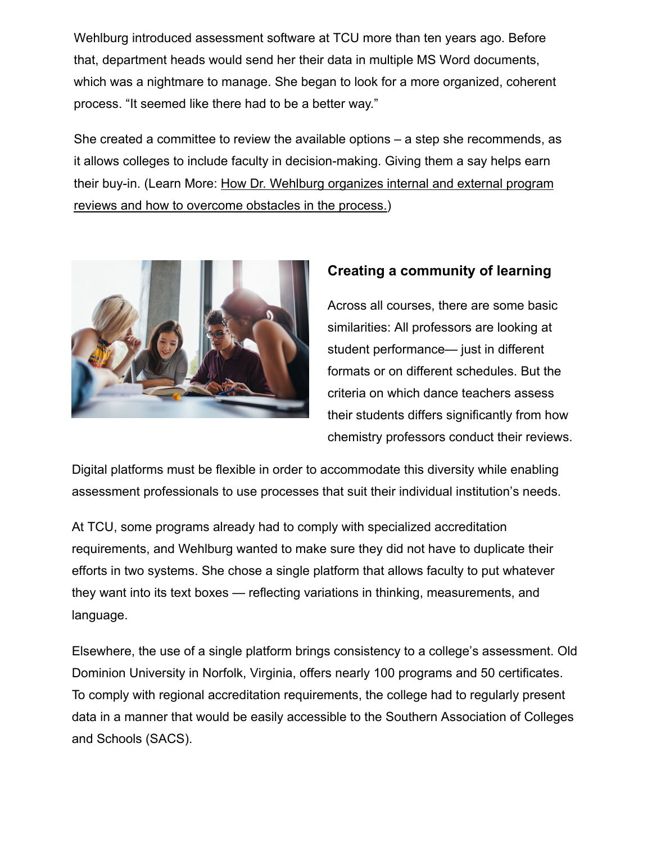Wehlburg introduced assessment software at TCU more than ten years ago. Before that, department heads would send her their data in multiple MS Word documents, which was a nightmare to manage. She began to look for a more organized, coherent process. "It seemed like there had to be a better way."

She created a committee to review the available options – a step she recommends, as it allows colleges to include faculty in decision-making. Giving them a say helps earn [their buy-in. \(Learn More: How Dr. Wehlburg organizes](http://info.weaveeducation.com/coordinating-program-reviews-webinar) internal and external program reviews and how to overcome obstacles in the process.)



## Creating a community of learning

Across all courses, there are some basic similarities: All professors are looking at student performance— just in different formats or on different schedules. But the criteria on which dance teachers assess their students differs significantly from how chemistry professors conduct their reviews.

Digital platforms must be flexible in order to accommodate this diversity while enabling assessment professionals to use processes that suit their individual institution's needs.

At TCU, some programs already had to comply with specialized accreditation requirements, and Wehlburg wanted to make sure they did not have to duplicate their efforts in two systems. She chose a single platform that allows faculty to put whatever they want into its text boxes — reflecting variations in thinking, measurements, and language.

Elsewhere, the use of a single platform brings consistency to a college's assessment. Old Dominion University in Norfolk, Virginia, offers nearly 100 programs and 50 certificates. To comply with regional accreditation requirements, the college had to regularly present data in a manner that would be easily accessible to the Southern Association of Colleges and Schools (SACS).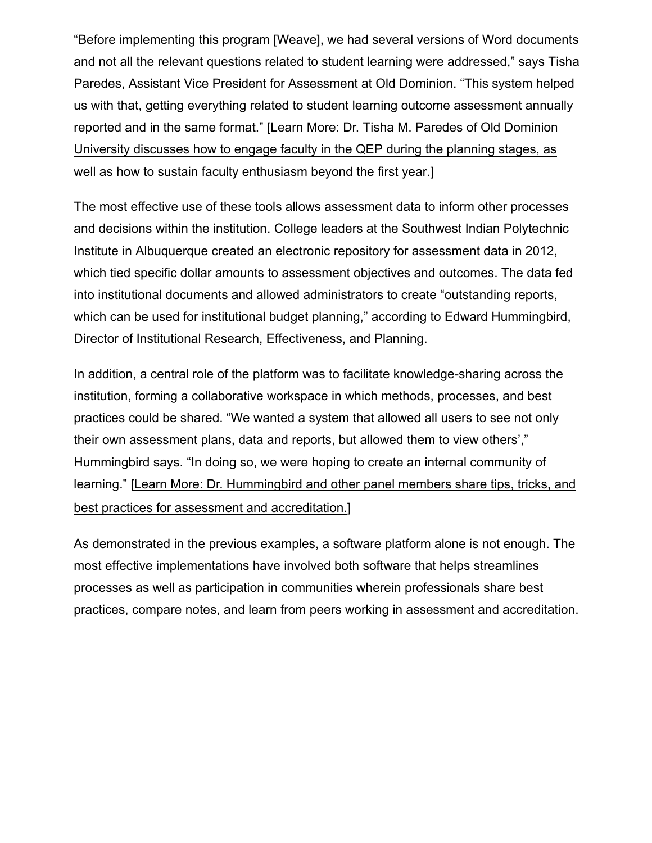"Before implementing this program [Weave], we had several versions of Word documents and not all the relevant questions related to student learning were addressed," says Tisha Paredes, Assistant Vice President for Assessment at Old Dominion. "This system helped us with that, getting everything related to student learning outcome assessment annually reported [and in the same format." \[Learn More: Dr. Tisha M. Paredes of Old Dominion](https://info.weaveeducation.com/assessing-qep-webinar) University discusses how to engage faculty in the QEP during the planning stages, as well as how to sustain faculty enthusiasm beyond the first year.]

The most effective use of these tools allows assessment data to inform other processes and decisions within the institution. College leaders at the Southwest Indian Polytechnic Institute in Albuquerque created an electronic repository for assessment data in 2012, which tied specific dollar amounts to assessment objectives and outcomes. The data fed into institutional documents and allowed administrators to create "outstanding reports, which can be used for institutional budget planning," according to Edward Hummingbird, Director of Institutional Research, Effectiveness, and Planning.

In addition, a central role of the platform was to facilitate knowledge-sharing across the institution, forming a collaborative workspace in which methods, processes, and best practices could be shared. "We wanted a system that allowed all users to see not only their own assessment plans, data and reports, but allowed them to view others'," Hummingbird says. "In doing so, we were hoping to create an internal community of learning." [Learn More: Dr. [Hummingbird and other panel members share tips, tricks, and](https://info.weaveeducation.com/non-academic-program-review-webinar)  best practices for assessment and accreditation.]

As demonstrated in the previous examples, a software platform alone is not enough. The most effective implementations have involved both software that helps streamlines processes as well as participation in communities wherein professionals share best [practices, compare notes, and learn from peers working](http://info.weaveeducation.com/accreditation-panel-webinar) in assessment and accreditation.